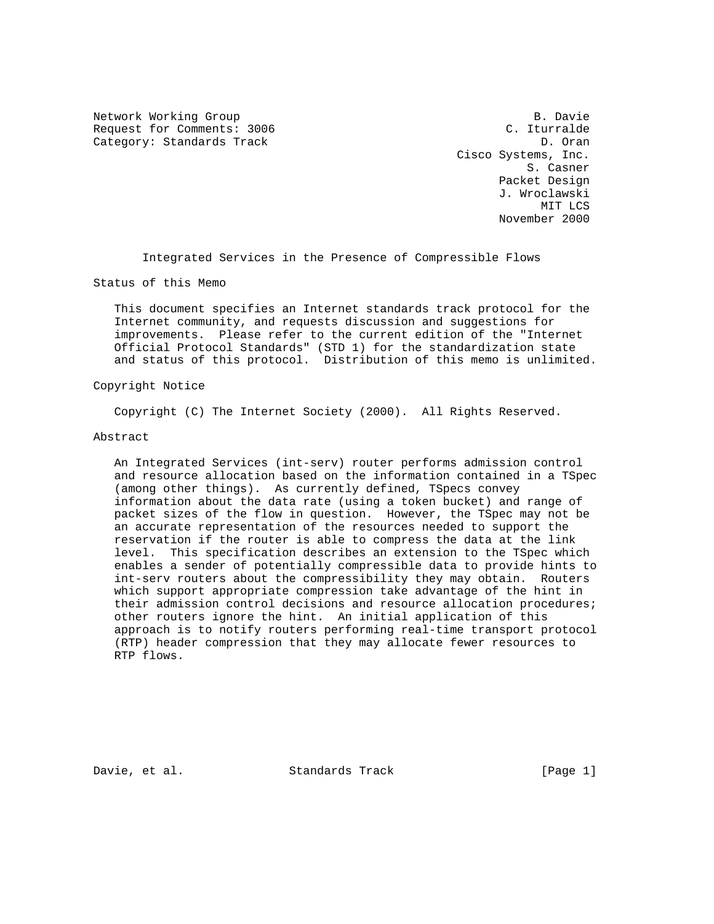Network Working Group B. Davie Request for Comments: 3006 C. Iturralde Category: Standards Track D. Oran D. Oran

 Cisco Systems, Inc. S. Casner Packet Design J. Wroclawski MIT LCS November 2000

Integrated Services in the Presence of Compressible Flows

Status of this Memo

 This document specifies an Internet standards track protocol for the Internet community, and requests discussion and suggestions for improvements. Please refer to the current edition of the "Internet Official Protocol Standards" (STD 1) for the standardization state and status of this protocol. Distribution of this memo is unlimited.

### Copyright Notice

Copyright (C) The Internet Society (2000). All Rights Reserved.

### Abstract

 An Integrated Services (int-serv) router performs admission control and resource allocation based on the information contained in a TSpec (among other things). As currently defined, TSpecs convey information about the data rate (using a token bucket) and range of packet sizes of the flow in question. However, the TSpec may not be an accurate representation of the resources needed to support the reservation if the router is able to compress the data at the link level. This specification describes an extension to the TSpec which enables a sender of potentially compressible data to provide hints to int-serv routers about the compressibility they may obtain. Routers which support appropriate compression take advantage of the hint in their admission control decisions and resource allocation procedures; other routers ignore the hint. An initial application of this approach is to notify routers performing real-time transport protocol (RTP) header compression that they may allocate fewer resources to RTP flows.

Davie, et al. Standards Track [Page 1]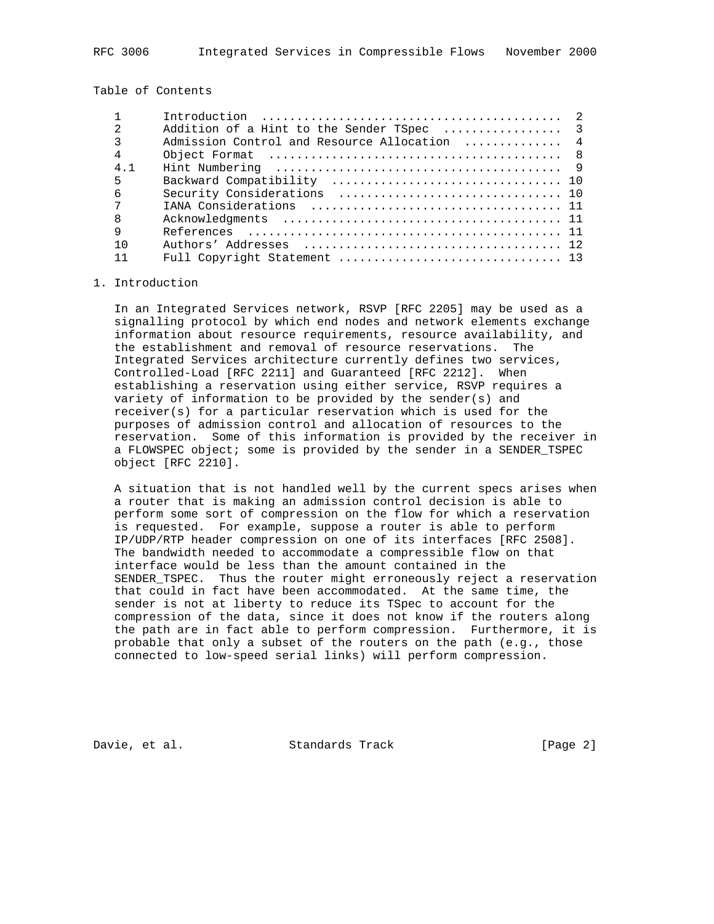Table of Contents

| Addition of a Hint to the Sender TSpec  3    |
|----------------------------------------------|
| Admission Control and Resource Allocation  4 |
|                                              |
|                                              |
|                                              |
|                                              |
|                                              |
|                                              |
|                                              |
|                                              |
|                                              |
|                                              |

### 1. Introduction

 In an Integrated Services network, RSVP [RFC 2205] may be used as a signalling protocol by which end nodes and network elements exchange information about resource requirements, resource availability, and the establishment and removal of resource reservations. The Integrated Services architecture currently defines two services, Controlled-Load [RFC 2211] and Guaranteed [RFC 2212]. When establishing a reservation using either service, RSVP requires a variety of information to be provided by the sender(s) and receiver(s) for a particular reservation which is used for the purposes of admission control and allocation of resources to the reservation. Some of this information is provided by the receiver in a FLOWSPEC object; some is provided by the sender in a SENDER\_TSPEC object [RFC 2210].

 A situation that is not handled well by the current specs arises when a router that is making an admission control decision is able to perform some sort of compression on the flow for which a reservation is requested. For example, suppose a router is able to perform IP/UDP/RTP header compression on one of its interfaces [RFC 2508]. The bandwidth needed to accommodate a compressible flow on that interface would be less than the amount contained in the SENDER\_TSPEC. Thus the router might erroneously reject a reservation that could in fact have been accommodated. At the same time, the sender is not at liberty to reduce its TSpec to account for the compression of the data, since it does not know if the routers along the path are in fact able to perform compression. Furthermore, it is probable that only a subset of the routers on the path (e.g., those connected to low-speed serial links) will perform compression.

Davie, et al. Standards Track [Page 2]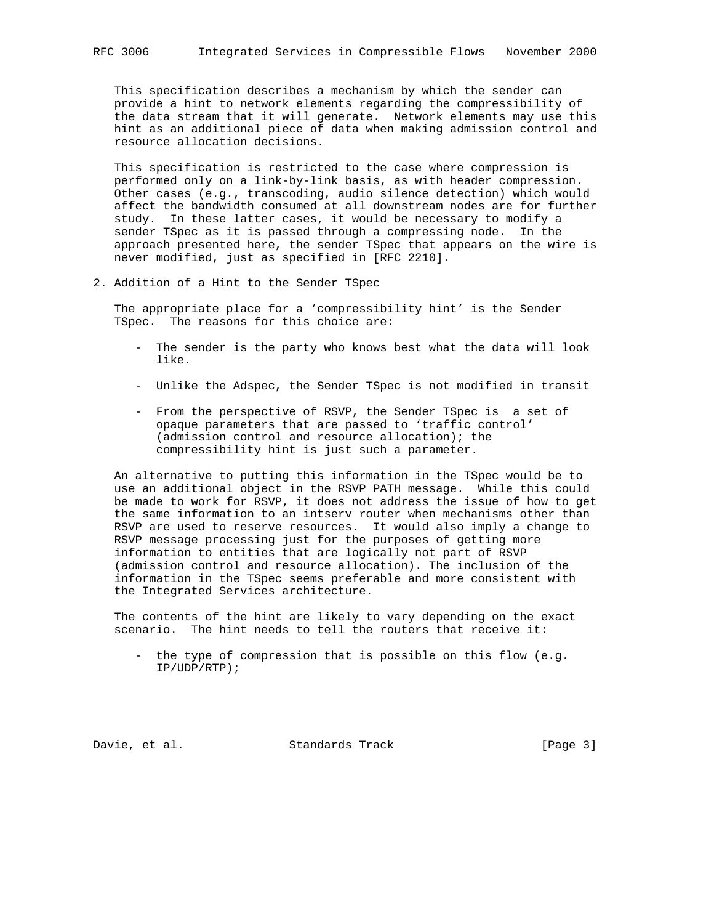This specification describes a mechanism by which the sender can provide a hint to network elements regarding the compressibility of the data stream that it will generate. Network elements may use this hint as an additional piece of data when making admission control and resource allocation decisions.

 This specification is restricted to the case where compression is performed only on a link-by-link basis, as with header compression. Other cases (e.g., transcoding, audio silence detection) which would affect the bandwidth consumed at all downstream nodes are for further study. In these latter cases, it would be necessary to modify a sender TSpec as it is passed through a compressing node. In the approach presented here, the sender TSpec that appears on the wire is never modified, just as specified in [RFC 2210].

2. Addition of a Hint to the Sender TSpec

 The appropriate place for a 'compressibility hint' is the Sender TSpec. The reasons for this choice are:

- The sender is the party who knows best what the data will look like.
- Unlike the Adspec, the Sender TSpec is not modified in transit
- From the perspective of RSVP, the Sender TSpec is a set of opaque parameters that are passed to 'traffic control' (admission control and resource allocation); the compressibility hint is just such a parameter.

 An alternative to putting this information in the TSpec would be to use an additional object in the RSVP PATH message. While this could be made to work for RSVP, it does not address the issue of how to get the same information to an intserv router when mechanisms other than RSVP are used to reserve resources. It would also imply a change to RSVP message processing just for the purposes of getting more information to entities that are logically not part of RSVP (admission control and resource allocation). The inclusion of the information in the TSpec seems preferable and more consistent with the Integrated Services architecture.

 The contents of the hint are likely to vary depending on the exact scenario. The hint needs to tell the routers that receive it:

 - the type of compression that is possible on this flow (e.g. IP/UDP/RTP);

Davie, et al. Standards Track [Page 3]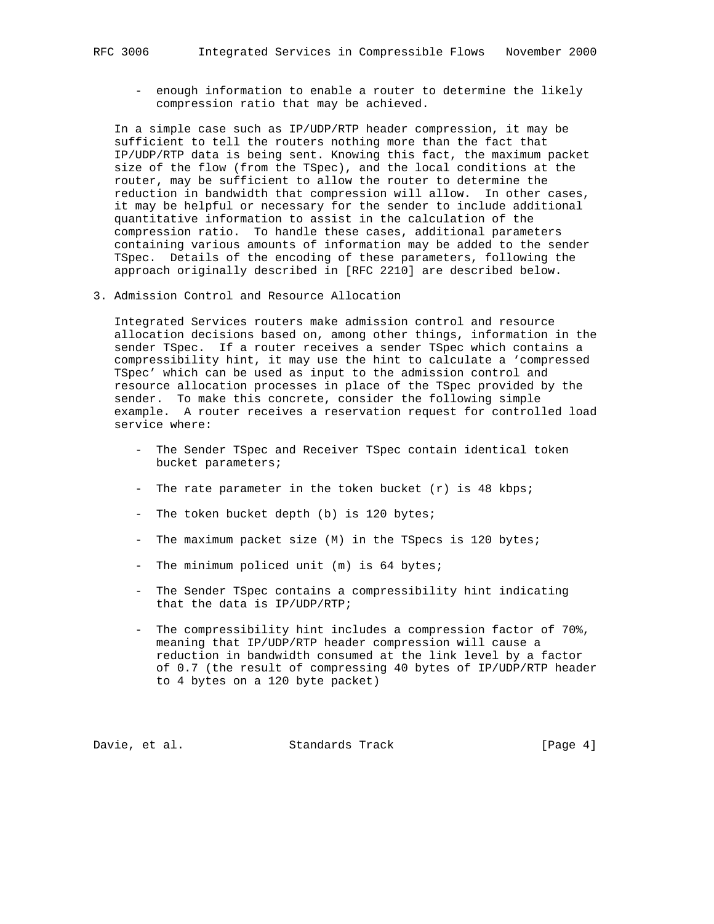- enough information to enable a router to determine the likely compression ratio that may be achieved.

 In a simple case such as IP/UDP/RTP header compression, it may be sufficient to tell the routers nothing more than the fact that IP/UDP/RTP data is being sent. Knowing this fact, the maximum packet size of the flow (from the TSpec), and the local conditions at the router, may be sufficient to allow the router to determine the reduction in bandwidth that compression will allow. In other cases, it may be helpful or necessary for the sender to include additional quantitative information to assist in the calculation of the compression ratio. To handle these cases, additional parameters containing various amounts of information may be added to the sender TSpec. Details of the encoding of these parameters, following the approach originally described in [RFC 2210] are described below.

3. Admission Control and Resource Allocation

 Integrated Services routers make admission control and resource allocation decisions based on, among other things, information in the sender TSpec. If a router receives a sender TSpec which contains a compressibility hint, it may use the hint to calculate a 'compressed TSpec' which can be used as input to the admission control and resource allocation processes in place of the TSpec provided by the sender. To make this concrete, consider the following simple example. A router receives a reservation request for controlled load service where:

- The Sender TSpec and Receiver TSpec contain identical token bucket parameters;
- The rate parameter in the token bucket  $(r)$  is 48 kbps;
- The token bucket depth (b) is 120 bytes;
- The maximum packet size (M) in the TSpecs is 120 bytes;
- The minimum policed unit (m) is 64 bytes;
- The Sender TSpec contains a compressibility hint indicating that the data is IP/UDP/RTP;
- The compressibility hint includes a compression factor of 70%, meaning that IP/UDP/RTP header compression will cause a reduction in bandwidth consumed at the link level by a factor of 0.7 (the result of compressing 40 bytes of IP/UDP/RTP header to 4 bytes on a 120 byte packet)

Davie, et al. Standards Track [Page 4]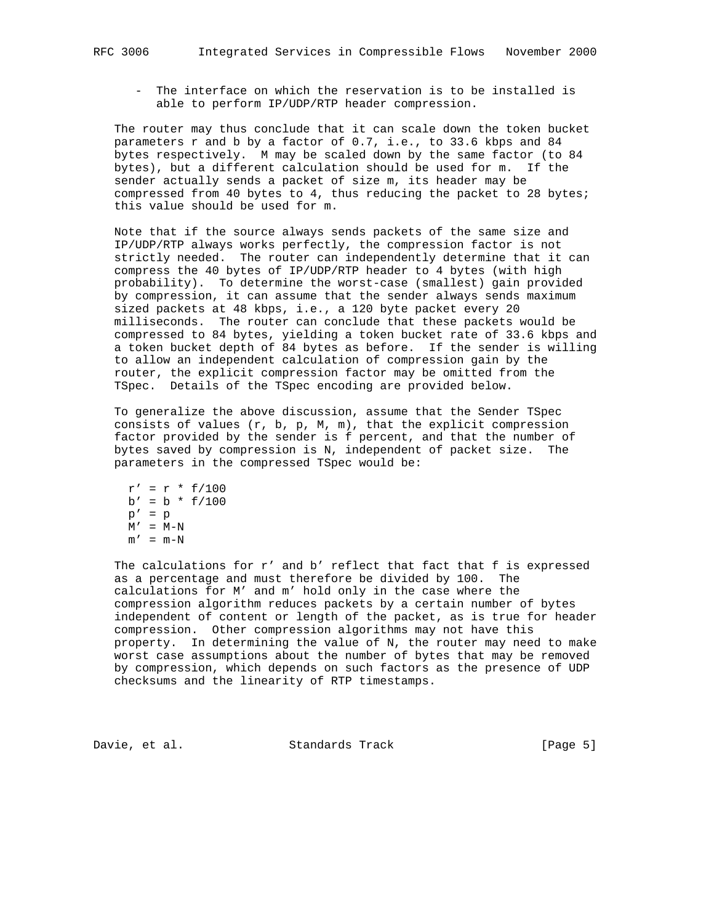- The interface on which the reservation is to be installed is able to perform IP/UDP/RTP header compression.

 The router may thus conclude that it can scale down the token bucket parameters r and b by a factor of 0.7, i.e., to 33.6 kbps and 84 bytes respectively. M may be scaled down by the same factor (to 84 bytes), but a different calculation should be used for m. If the sender actually sends a packet of size m, its header may be compressed from 40 bytes to 4, thus reducing the packet to 28 bytes; this value should be used for m.

 Note that if the source always sends packets of the same size and IP/UDP/RTP always works perfectly, the compression factor is not strictly needed. The router can independently determine that it can compress the 40 bytes of IP/UDP/RTP header to 4 bytes (with high probability). To determine the worst-case (smallest) gain provided by compression, it can assume that the sender always sends maximum sized packets at 48 kbps, i.e., a 120 byte packet every 20 milliseconds. The router can conclude that these packets would be compressed to 84 bytes, yielding a token bucket rate of 33.6 kbps and a token bucket depth of 84 bytes as before. If the sender is willing to allow an independent calculation of compression gain by the router, the explicit compression factor may be omitted from the TSpec. Details of the TSpec encoding are provided below.

 To generalize the above discussion, assume that the Sender TSpec consists of values  $(r, b, p, M, m)$ , that the explicit compression factor provided by the sender is f percent, and that the number of bytes saved by compression is N, independent of packet size. The parameters in the compressed TSpec would be:

 $r' = r * f/100$  $b' = b * f/100$  $p' = p$  $M'$  =  $M-N$  $m' = m-N$ 

The calculations for r' and b' reflect that fact that f is expressed as a percentage and must therefore be divided by 100. The calculations for M' and m' hold only in the case where the compression algorithm reduces packets by a certain number of bytes independent of content or length of the packet, as is true for header compression. Other compression algorithms may not have this property. In determining the value of N, the router may need to make worst case assumptions about the number of bytes that may be removed by compression, which depends on such factors as the presence of UDP checksums and the linearity of RTP timestamps.

Davie, et al. Standards Track [Page 5]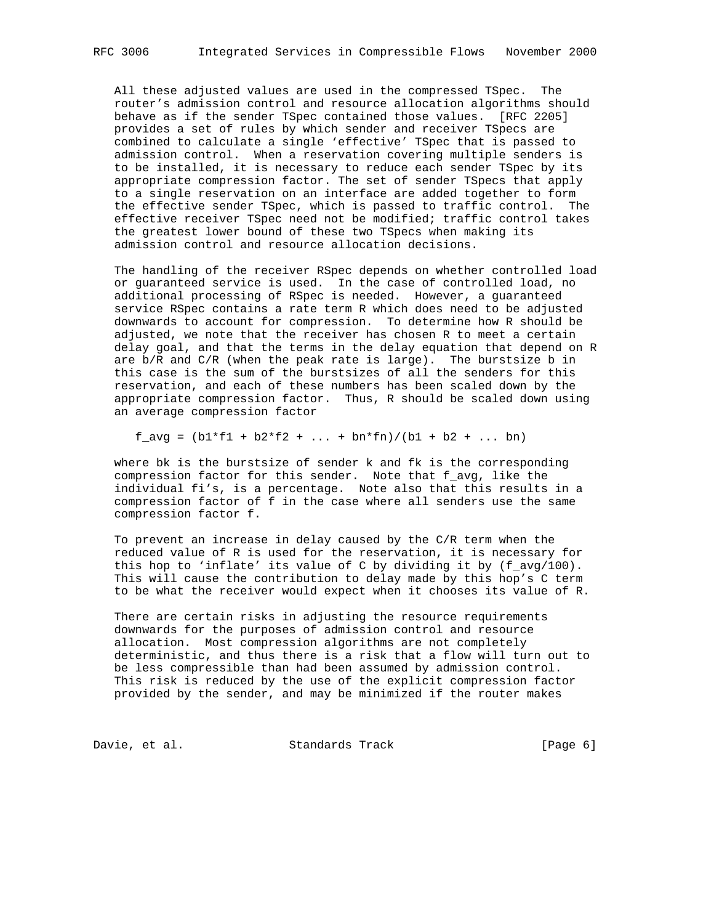All these adjusted values are used in the compressed TSpec. The router's admission control and resource allocation algorithms should behave as if the sender TSpec contained those values. [RFC 2205] provides a set of rules by which sender and receiver TSpecs are combined to calculate a single 'effective' TSpec that is passed to admission control. When a reservation covering multiple senders is to be installed, it is necessary to reduce each sender TSpec by its appropriate compression factor. The set of sender TSpecs that apply to a single reservation on an interface are added together to form the effective sender TSpec, which is passed to traffic control. The effective receiver TSpec need not be modified; traffic control takes the greatest lower bound of these two TSpecs when making its admission control and resource allocation decisions.

 The handling of the receiver RSpec depends on whether controlled load or guaranteed service is used. In the case of controlled load, no additional processing of RSpec is needed. However, a guaranteed service RSpec contains a rate term R which does need to be adjusted downwards to account for compression. To determine how R should be adjusted, we note that the receiver has chosen R to meet a certain delay goal, and that the terms in the delay equation that depend on R are b/R and C/R (when the peak rate is large). The burstsize b in this case is the sum of the burstsizes of all the senders for this reservation, and each of these numbers has been scaled down by the appropriate compression factor. Thus, R should be scaled down using an average compression factor

 $f_{avg} = (b1*f1 + b2*f2 + ... + bn*fn)/(b1 + b2 + ... bn)$ 

 where bk is the burstsize of sender k and fk is the corresponding compression factor for this sender. Note that f\_avg, like the individual fi's, is a percentage. Note also that this results in a compression factor of f in the case where all senders use the same compression factor f.

 To prevent an increase in delay caused by the C/R term when the reduced value of R is used for the reservation, it is necessary for this hop to 'inflate' its value of C by dividing it by (f\_avg/100). This will cause the contribution to delay made by this hop's C term to be what the receiver would expect when it chooses its value of R.

There are certain risks in adjusting the resource requirements downwards for the purposes of admission control and resource allocation. Most compression algorithms are not completely deterministic, and thus there is a risk that a flow will turn out to be less compressible than had been assumed by admission control. This risk is reduced by the use of the explicit compression factor provided by the sender, and may be minimized if the router makes

Davie, et al. Standards Track [Page 6]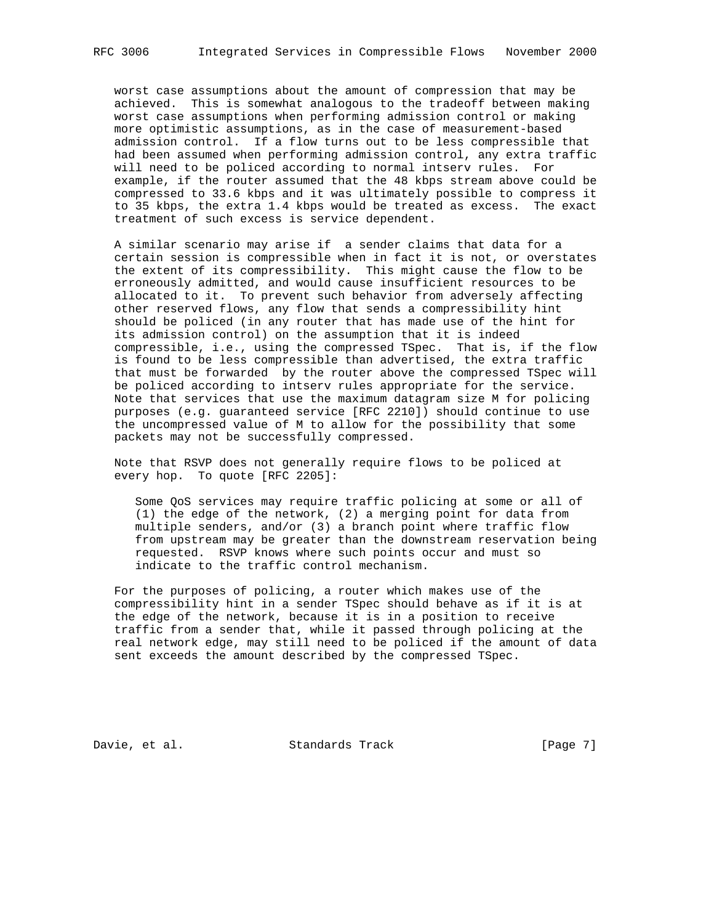worst case assumptions about the amount of compression that may be achieved. This is somewhat analogous to the tradeoff between making worst case assumptions when performing admission control or making more optimistic assumptions, as in the case of measurement-based admission control. If a flow turns out to be less compressible that had been assumed when performing admission control, any extra traffic will need to be policed according to normal intserv rules. For example, if the router assumed that the 48 kbps stream above could be compressed to 33.6 kbps and it was ultimately possible to compress it to 35 kbps, the extra 1.4 kbps would be treated as excess. The exact treatment of such excess is service dependent.

 A similar scenario may arise if a sender claims that data for a certain session is compressible when in fact it is not, or overstates the extent of its compressibility. This might cause the flow to be erroneously admitted, and would cause insufficient resources to be allocated to it. To prevent such behavior from adversely affecting other reserved flows, any flow that sends a compressibility hint should be policed (in any router that has made use of the hint for its admission control) on the assumption that it is indeed compressible, i.e., using the compressed TSpec. That is, if the flow is found to be less compressible than advertised, the extra traffic that must be forwarded by the router above the compressed TSpec will be policed according to intserv rules appropriate for the service. Note that services that use the maximum datagram size M for policing purposes (e.g. guaranteed service [RFC 2210]) should continue to use the uncompressed value of M to allow for the possibility that some packets may not be successfully compressed.

 Note that RSVP does not generally require flows to be policed at every hop. To quote [RFC 2205]:

 Some QoS services may require traffic policing at some or all of (1) the edge of the network, (2) a merging point for data from multiple senders, and/or (3) a branch point where traffic flow from upstream may be greater than the downstream reservation being requested. RSVP knows where such points occur and must so indicate to the traffic control mechanism.

 For the purposes of policing, a router which makes use of the compressibility hint in a sender TSpec should behave as if it is at the edge of the network, because it is in a position to receive traffic from a sender that, while it passed through policing at the real network edge, may still need to be policed if the amount of data sent exceeds the amount described by the compressed TSpec.

Davie, et al. Standards Track [Page 7]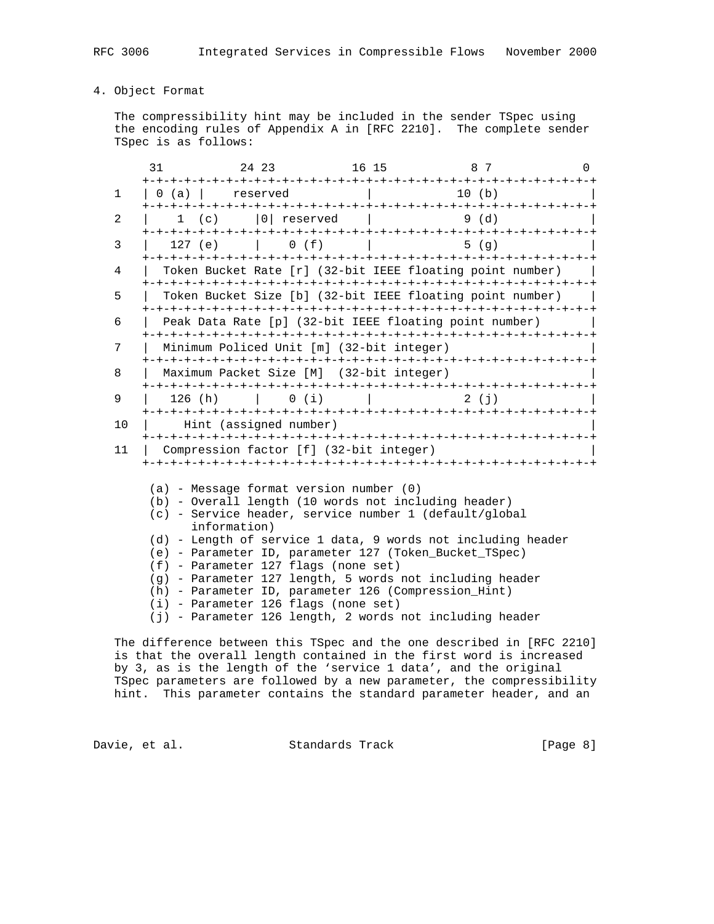# 4. Object Format

 The compressibility hint may be included in the sender TSpec using the encoding rules of Appendix A in [RFC 2210]. The complete sender TSpec is as follows:

|              | 31                                                                                                                                                                                                                                                                                                                                                                                                                                                                                                                                                                        | 24   23                                                                                                                                           |                                 |  | 16 15 8 7                                                 | $\Omega$ |  |
|--------------|---------------------------------------------------------------------------------------------------------------------------------------------------------------------------------------------------------------------------------------------------------------------------------------------------------------------------------------------------------------------------------------------------------------------------------------------------------------------------------------------------------------------------------------------------------------------------|---------------------------------------------------------------------------------------------------------------------------------------------------|---------------------------------|--|-----------------------------------------------------------|----------|--|
| $\mathbf{1}$ |                                                                                                                                                                                                                                                                                                                                                                                                                                                                                                                                                                           | $\begin{array}{ c c c c c } \hline 0 & (a) & \mbox{\quad} & \mbox{\quad} & \mbox{\quad} & \mbox{\quad} & \mbox{\quad} & \mbox{\quad} \end{array}$ | the contract of the contract of |  | 10(h)                                                     |          |  |
| 2            |                                                                                                                                                                                                                                                                                                                                                                                                                                                                                                                                                                           | 1 (c) $ 0 $ reserved $ $ 9 (d)                                                                                                                    |                                 |  |                                                           |          |  |
| 3            |                                                                                                                                                                                                                                                                                                                                                                                                                                                                                                                                                                           | 127 (e) $\vert$ 0 (f) $\vert$                                                                                                                     |                                 |  | 5(q)                                                      |          |  |
| 4            |                                                                                                                                                                                                                                                                                                                                                                                                                                                                                                                                                                           |                                                                                                                                                   |                                 |  | Token Bucket Rate [r] (32-bit IEEE floating point number) |          |  |
| 5            | Token Bucket Size [b] (32-bit IEEE floating point number)                                                                                                                                                                                                                                                                                                                                                                                                                                                                                                                 |                                                                                                                                                   |                                 |  |                                                           |          |  |
| 6            | Peak Data Rate [p] (32-bit IEEE floating point number)                                                                                                                                                                                                                                                                                                                                                                                                                                                                                                                    |                                                                                                                                                   |                                 |  |                                                           |          |  |
| 7            | Minimum Policed Unit [m] (32-bit integer)                                                                                                                                                                                                                                                                                                                                                                                                                                                                                                                                 |                                                                                                                                                   |                                 |  |                                                           |          |  |
| 8            | Maximum Packet Size [M] (32-bit integer)                                                                                                                                                                                                                                                                                                                                                                                                                                                                                                                                  |                                                                                                                                                   |                                 |  |                                                           |          |  |
| 9            |                                                                                                                                                                                                                                                                                                                                                                                                                                                                                                                                                                           |                                                                                                                                                   |                                 |  |                                                           |          |  |
| 10           | Hint (assigned number)                                                                                                                                                                                                                                                                                                                                                                                                                                                                                                                                                    |                                                                                                                                                   |                                 |  |                                                           |          |  |
| 11           | Compression factor [f] (32-bit integer)                                                                                                                                                                                                                                                                                                                                                                                                                                                                                                                                   |                                                                                                                                                   |                                 |  |                                                           |          |  |
|              | $(a)$ - Message format version number $(0)$<br>(b) - Overall length (10 words not including header)<br>(c) - Service header, service number 1 (default/global<br>information)<br>(d) - Length of service 1 data, 9 words not including header<br>(e) - Parameter ID, parameter 127 (Token_Bucket_TSpec)<br>(f) - Parameter 127 flags (none set)<br>(g) - Parameter 127 length, 5 words not including header<br>(h) - Parameter ID, parameter 126 (Compression_Hint)<br>$(i)$ - Parameter 126 flags (none set)<br>(j) - Parameter 126 length, 2 words not including header |                                                                                                                                                   |                                 |  |                                                           |          |  |

 The difference between this TSpec and the one described in [RFC 2210] is that the overall length contained in the first word is increased by 3, as is the length of the 'service 1 data', and the original TSpec parameters are followed by a new parameter, the compressibility hint. This parameter contains the standard parameter header, and an

Davie, et al. Standards Track [Page 8]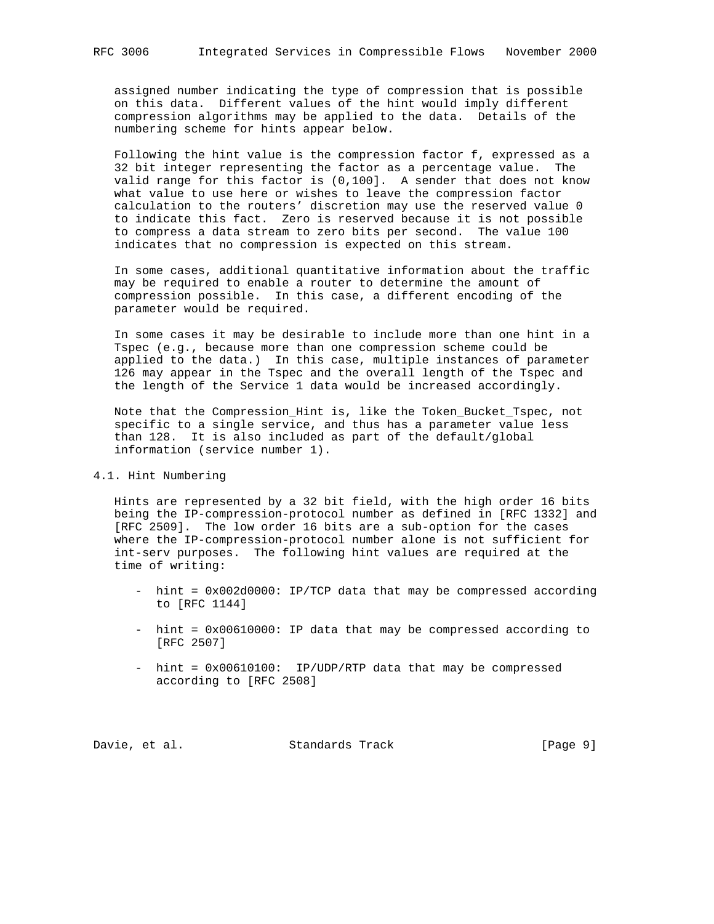assigned number indicating the type of compression that is possible on this data. Different values of the hint would imply different compression algorithms may be applied to the data. Details of the numbering scheme for hints appear below.

 Following the hint value is the compression factor f, expressed as a 32 bit integer representing the factor as a percentage value. The valid range for this factor is (0,100]. A sender that does not know what value to use here or wishes to leave the compression factor calculation to the routers' discretion may use the reserved value 0 to indicate this fact. Zero is reserved because it is not possible to compress a data stream to zero bits per second. The value 100 indicates that no compression is expected on this stream.

 In some cases, additional quantitative information about the traffic may be required to enable a router to determine the amount of compression possible. In this case, a different encoding of the parameter would be required.

 In some cases it may be desirable to include more than one hint in a Tspec (e.g., because more than one compression scheme could be applied to the data.) In this case, multiple instances of parameter 126 may appear in the Tspec and the overall length of the Tspec and the length of the Service 1 data would be increased accordingly.

 Note that the Compression\_Hint is, like the Token\_Bucket\_Tspec, not specific to a single service, and thus has a parameter value less than 128. It is also included as part of the default/global information (service number 1).

### 4.1. Hint Numbering

 Hints are represented by a 32 bit field, with the high order 16 bits being the IP-compression-protocol number as defined in [RFC 1332] and [RFC 2509]. The low order 16 bits are a sub-option for the cases where the IP-compression-protocol number alone is not sufficient for int-serv purposes. The following hint values are required at the time of writing:

- hint = 0x002d0000: IP/TCP data that may be compressed according to [RFC 1144]
- hint = 0x00610000: IP data that may be compressed according to [RFC 2507]
- hint = 0x00610100: IP/UDP/RTP data that may be compressed according to [RFC 2508]

Davie, et al. Standards Track [Page 9]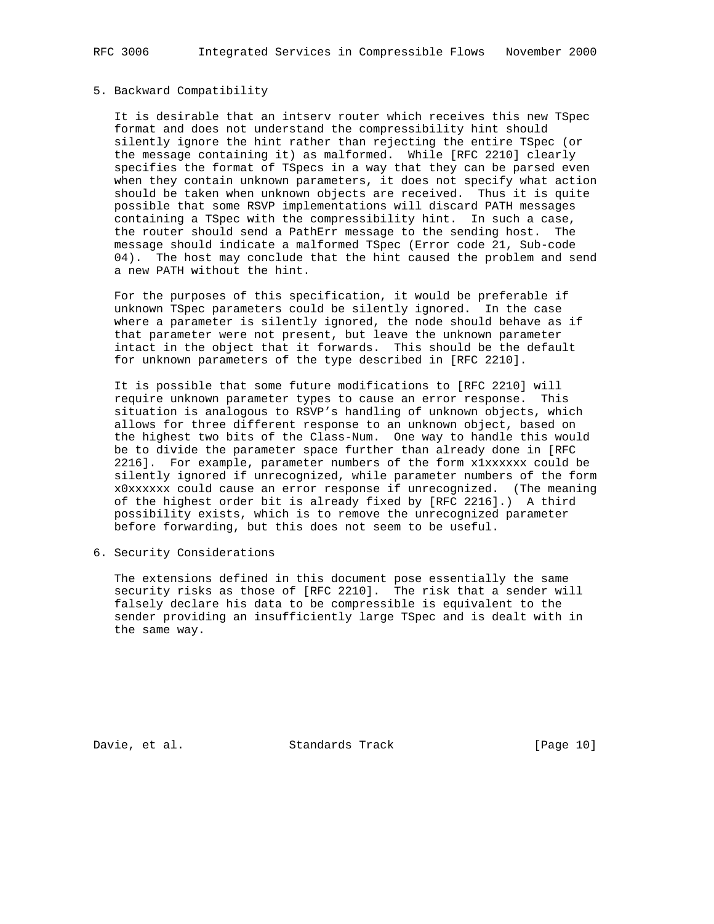#### 5. Backward Compatibility

 It is desirable that an intserv router which receives this new TSpec format and does not understand the compressibility hint should silently ignore the hint rather than rejecting the entire TSpec (or the message containing it) as malformed. While [RFC 2210] clearly specifies the format of TSpecs in a way that they can be parsed even when they contain unknown parameters, it does not specify what action should be taken when unknown objects are received. Thus it is quite possible that some RSVP implementations will discard PATH messages containing a TSpec with the compressibility hint. In such a case, the router should send a PathErr message to the sending host. The message should indicate a malformed TSpec (Error code 21, Sub-code 04). The host may conclude that the hint caused the problem and send a new PATH without the hint.

 For the purposes of this specification, it would be preferable if unknown TSpec parameters could be silently ignored. In the case where a parameter is silently ignored, the node should behave as if that parameter were not present, but leave the unknown parameter intact in the object that it forwards. This should be the default for unknown parameters of the type described in [RFC 2210].

 It is possible that some future modifications to [RFC 2210] will require unknown parameter types to cause an error response. This situation is analogous to RSVP's handling of unknown objects, which allows for three different response to an unknown object, based on the highest two bits of the Class-Num. One way to handle this would be to divide the parameter space further than already done in [RFC 2216]. For example, parameter numbers of the form x1xxxxxx could be silently ignored if unrecognized, while parameter numbers of the form x0xxxxxx could cause an error response if unrecognized. (The meaning of the highest order bit is already fixed by [RFC 2216].) A third possibility exists, which is to remove the unrecognized parameter before forwarding, but this does not seem to be useful.

6. Security Considerations

 The extensions defined in this document pose essentially the same security risks as those of [RFC 2210]. The risk that a sender will falsely declare his data to be compressible is equivalent to the sender providing an insufficiently large TSpec and is dealt with in the same way.

Davie, et al. Standards Track [Page 10]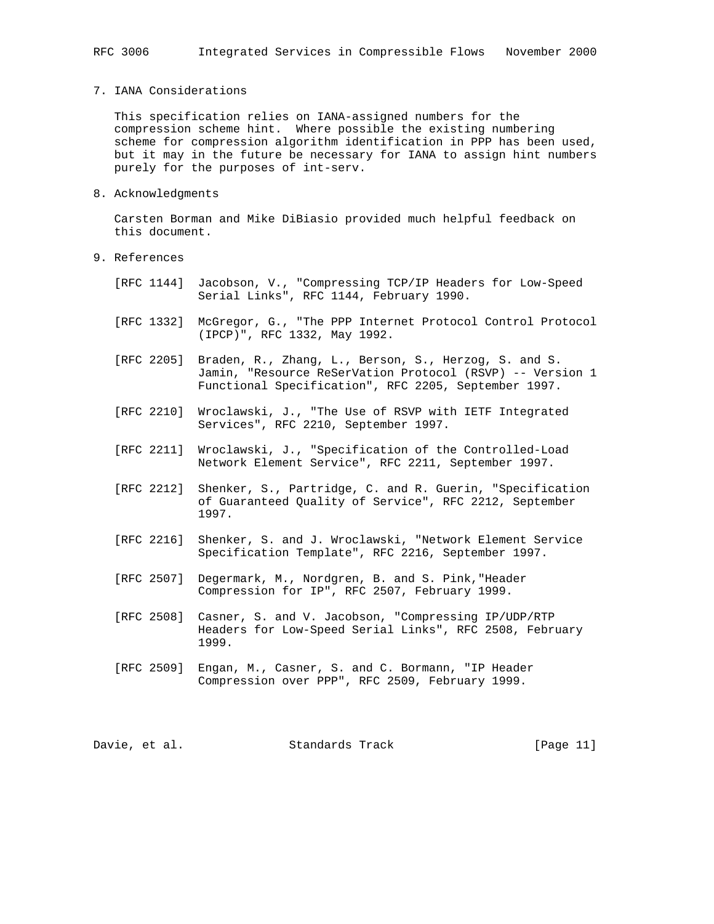7. IANA Considerations

 This specification relies on IANA-assigned numbers for the compression scheme hint. Where possible the existing numbering scheme for compression algorithm identification in PPP has been used, but it may in the future be necessary for IANA to assign hint numbers purely for the purposes of int-serv.

8. Acknowledgments

 Carsten Borman and Mike DiBiasio provided much helpful feedback on this document.

- 9. References
	- [RFC 1144] Jacobson, V., "Compressing TCP/IP Headers for Low-Speed Serial Links", RFC 1144, February 1990.
	- [RFC 1332] McGregor, G., "The PPP Internet Protocol Control Protocol (IPCP)", RFC 1332, May 1992.
	- [RFC 2205] Braden, R., Zhang, L., Berson, S., Herzog, S. and S. Jamin, "Resource ReSerVation Protocol (RSVP) -- Version 1 Functional Specification", RFC 2205, September 1997.
	- [RFC 2210] Wroclawski, J., "The Use of RSVP with IETF Integrated Services", RFC 2210, September 1997.
	- [RFC 2211] Wroclawski, J., "Specification of the Controlled-Load Network Element Service", RFC 2211, September 1997.
	- [RFC 2212] Shenker, S., Partridge, C. and R. Guerin, "Specification of Guaranteed Quality of Service", RFC 2212, September 1997.
	- [RFC 2216] Shenker, S. and J. Wroclawski, "Network Element Service Specification Template", RFC 2216, September 1997.
	- [RFC 2507] Degermark, M., Nordgren, B. and S. Pink,"Header Compression for IP", RFC 2507, February 1999.
	- [RFC 2508] Casner, S. and V. Jacobson, "Compressing IP/UDP/RTP Headers for Low-Speed Serial Links", RFC 2508, February 1999.
	- [RFC 2509] Engan, M., Casner, S. and C. Bormann, "IP Header Compression over PPP", RFC 2509, February 1999.

Davie, et al. Standards Track [Page 11]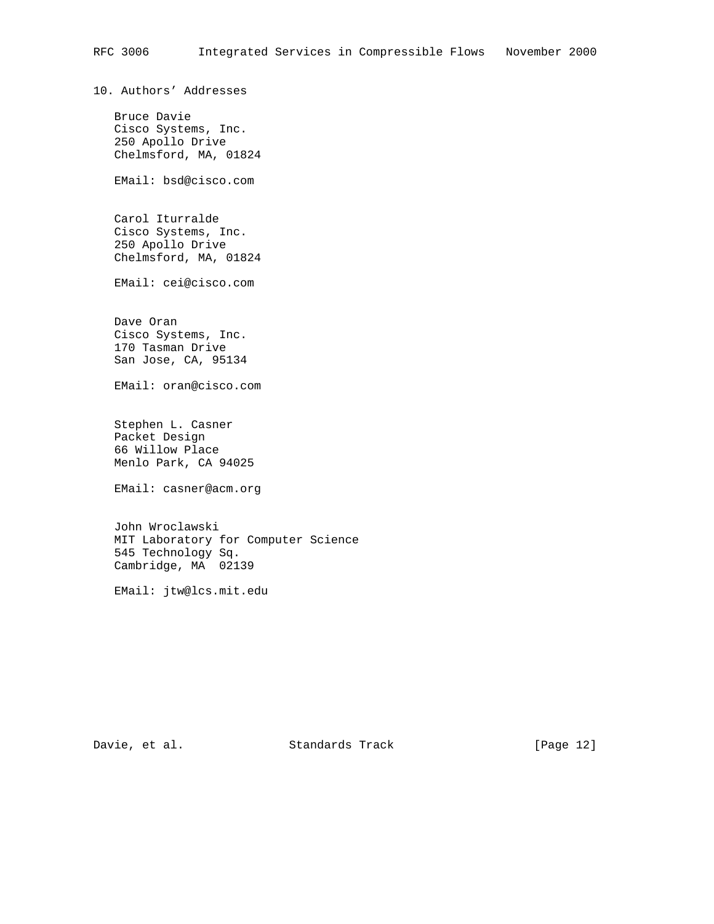10. Authors' Addresses

 Bruce Davie Cisco Systems, Inc. 250 Apollo Drive Chelmsford, MA, 01824

EMail: bsd@cisco.com

 Carol Iturralde Cisco Systems, Inc. 250 Apollo Drive Chelmsford, MA, 01824

EMail: cei@cisco.com

 Dave Oran Cisco Systems, Inc. 170 Tasman Drive San Jose, CA, 95134

EMail: oran@cisco.com

 Stephen L. Casner Packet Design 66 Willow Place Menlo Park, CA 94025

EMail: casner@acm.org

 John Wroclawski MIT Laboratory for Computer Science 545 Technology Sq. Cambridge, MA 02139

EMail: jtw@lcs.mit.edu

Davie, et al. Standards Track [Page 12]